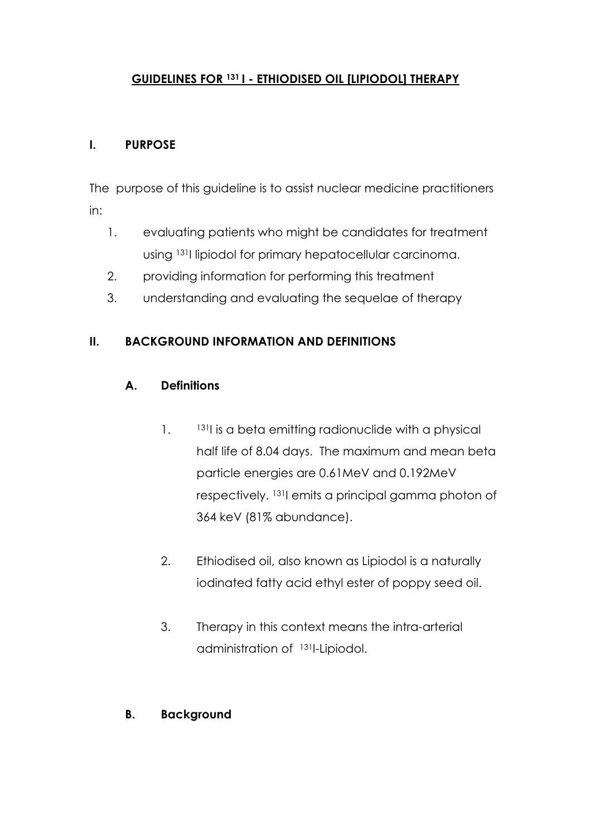## **GUIDELINES FOR 131 I - ETHIODISED OIL [LIPIODOL] THERAPY**

## **I. PURPOSE**

The purpose of this guideline is to assist nuclear medicine practitioners in:

- 1. evaluating patients who might be candidates for treatment using 131I lipiodol for primary hepatocellular carcinoma.
- 2. providing information for performing this treatment
- 3. understanding and evaluating the sequelae of therapy

## **II. BACKGROUND INFORMATION AND DEFINITIONS**

## **A. Definitions**

- 1.  $131$  is a beta emitting radionuclide with a physical half life of 8.04 days. The maximum and mean beta particle energies are 0.61MeV and 0.192MeV respectively. 131I emits a principal gamma photon of 364 keV (81% abundance).
- 2. Ethiodised oil, also known as Lipiodol is a naturally iodinated fatty acid ethyl ester of poppy seed oil.
- 3. Therapy in this context means the intra-arterial administration of 131I-Lipiodol.

## **B. Background**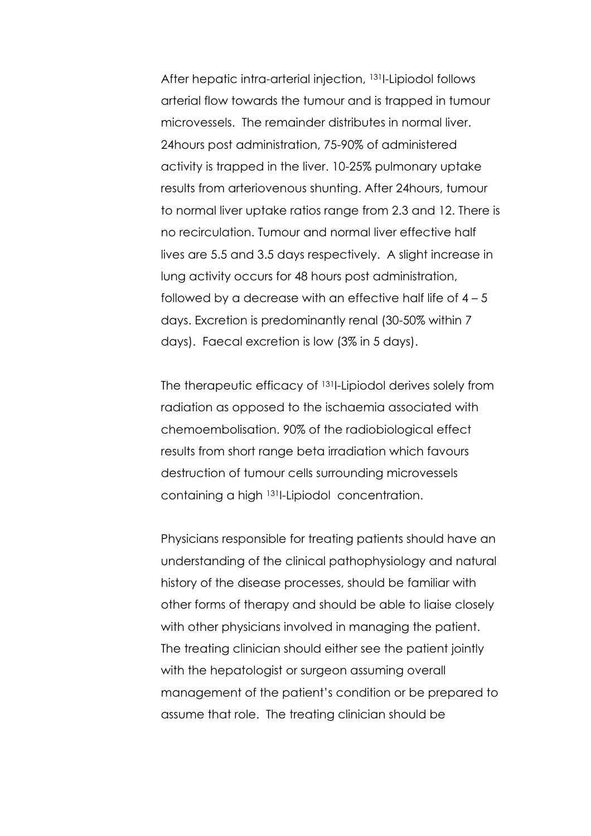After hepatic intra-arterial injection, 131I-Lipiodol follows arterial flow towards the tumour and is trapped in tumour microvessels. The remainder distributes in normal liver. 24hours post administration, 75-90% of administered activity is trapped in the liver. 10-25% pulmonary uptake results from arteriovenous shunting. After 24hours, tumour to normal liver uptake ratios range from 2.3 and 12. There is no recirculation. Tumour and normal liver effective half lives are 5.5 and 3.5 days respectively. A slight increase in lung activity occurs for 48 hours post administration, followed by a decrease with an effective half life of  $4 - 5$ days. Excretion is predominantly renal (30-50% within 7 days). Faecal excretion is low (3% in 5 days).

The therapeutic efficacy of 131I-Lipiodol derives solely from radiation as opposed to the ischaemia associated with chemoembolisation. 90% of the radiobiological effect results from short range beta irradiation which favours destruction of tumour cells surrounding microvessels containing a high 131I-Lipiodol concentration.

Physicians responsible for treating patients should have an understanding of the clinical pathophysiology and natural history of the disease processes, should be familiar with other forms of therapy and should be able to liaise closely with other physicians involved in managing the patient. The treating clinician should either see the patient jointly with the hepatologist or surgeon assuming overall management of the patient's condition or be prepared to assume that role. The treating clinician should be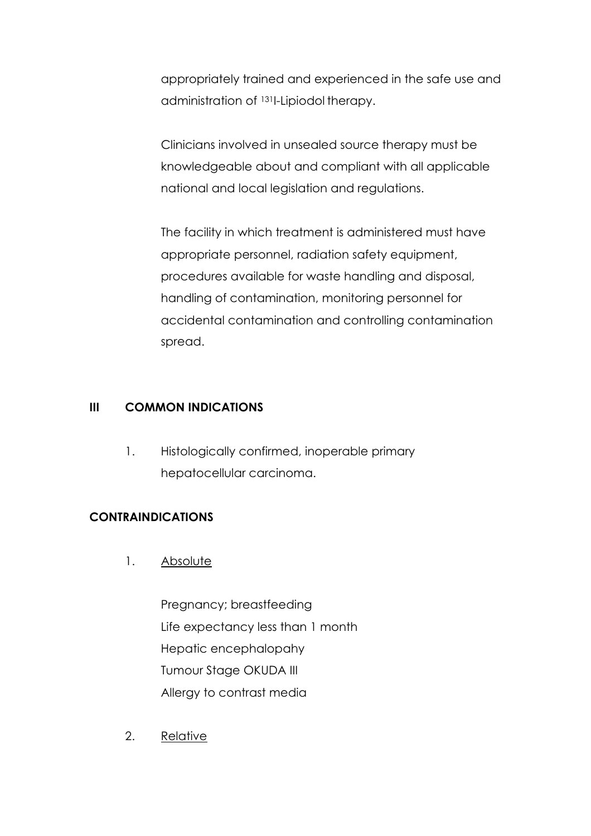appropriately trained and experienced in the safe use and administration of 131I-Lipiodol therapy.

Clinicians involved in unsealed source therapy must be knowledgeable about and compliant with all applicable national and local legislation and regulations.

The facility in which treatment is administered must have appropriate personnel, radiation safety equipment, procedures available for waste handling and disposal, handling of contamination, monitoring personnel for accidental contamination and controlling contamination spread.

## **III COMMON INDICATIONS**

1. Histologically confirmed, inoperable primary hepatocellular carcinoma.

## **CONTRAINDICATIONS**

1. Absolute

Pregnancy; breastfeeding Life expectancy less than 1 month Hepatic encephalopahy Tumour Stage OKUDA III Allergy to contrast media

2. Relative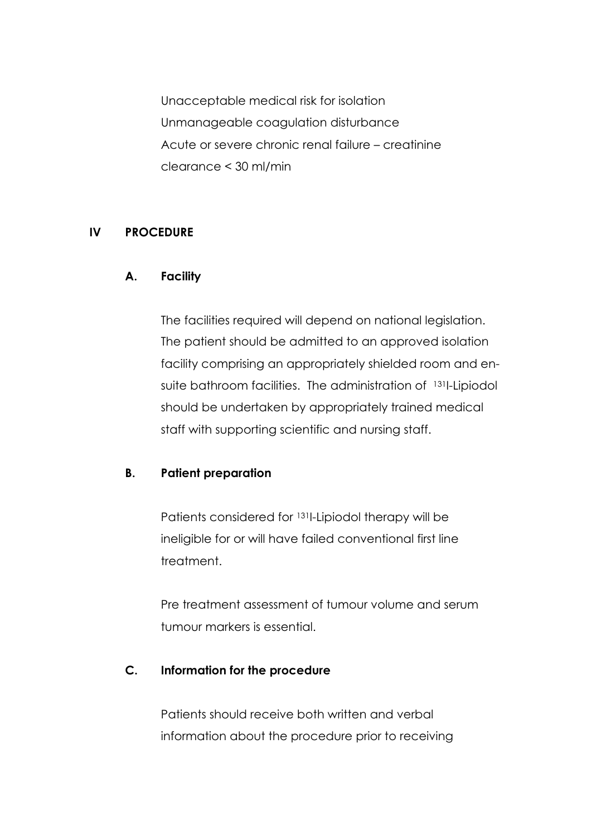Unacceptable medical risk for isolation Unmanageable coagulation disturbance Acute or severe chronic renal failure – creatinine clearance < 30 ml/min

## **IV PROCEDURE**

## **A. Facility**

The facilities required will depend on national legislation. The patient should be admitted to an approved isolation facility comprising an appropriately shielded room and ensuite bathroom facilities. The administration of <sup>131</sup>I-Lipiodol should be undertaken by appropriately trained medical staff with supporting scientific and nursing staff.

## **B. Patient preparation**

Patients considered for <sup>131</sup>I-Lipiodol therapy will be ineligible for or will have failed conventional first line treatment.

Pre treatment assessment of tumour volume and serum tumour markers is essential.

## **C. Information for the procedure**

Patients should receive both written and verbal information about the procedure prior to receiving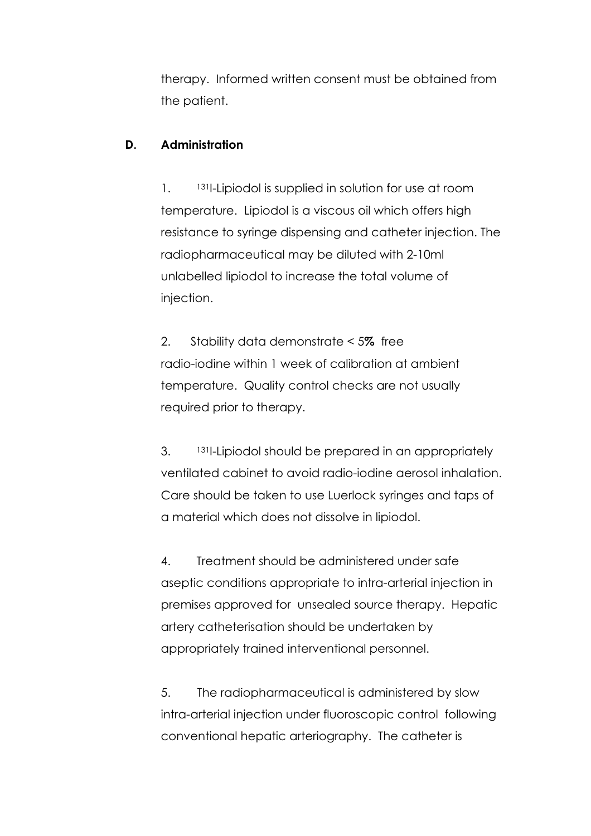therapy. Informed written consent must be obtained from the patient.

## **D. Administration**

1. <sup>131</sup>I-Lipiodol is supplied in solution for use at room temperature. Lipiodol is a viscous oil which offers high resistance to syringe dispensing and catheter injection. The radiopharmaceutical may be diluted with 2-10ml unlabelled lipiodol to increase the total volume of injection.

2. Stability data demonstrate < 5**%** free radio-iodine within 1 week of calibration at ambient temperature. Quality control checks are not usually required prior to therapy.

3. <sup>131</sup>-Lipiodol should be prepared in an appropriately ventilated cabinet to avoid radio-iodine aerosol inhalation. Care should be taken to use Luerlock syringes and taps of a material which does not dissolve in lipiodol.

4. Treatment should be administered under safe aseptic conditions appropriate to intra-arterial injection in premises approved for unsealed source therapy. Hepatic artery catheterisation should be undertaken by appropriately trained interventional personnel.

5. The radiopharmaceutical is administered by slow intra-arterial injection under fluoroscopic control following conventional hepatic arteriography. The catheter is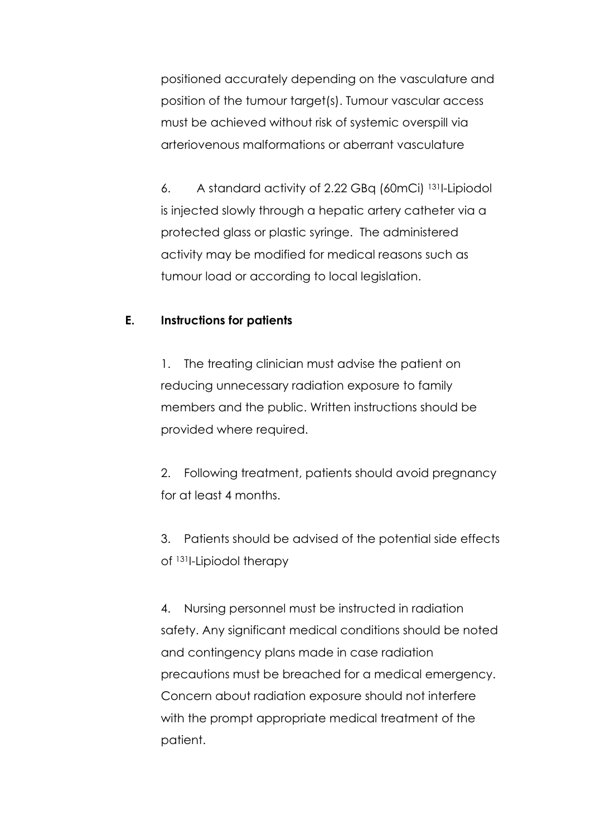positioned accurately depending on the vasculature and position of the tumour target(s). Tumour vascular access must be achieved without risk of systemic overspill via arteriovenous malformations or aberrant vasculature

6. A standard activity of 2.22 GBq (60mCi) 131I-Lipiodol is injected slowly through a hepatic artery catheter via a protected glass or plastic syringe. The administered activity may be modified for medical reasons such as tumour load or according to local legislation.

#### **E. Instructions for patients**

1. The treating clinician must advise the patient on reducing unnecessary radiation exposure to family members and the public. Written instructions should be provided where required.

2. Following treatment, patients should avoid pregnancy for at least 4 months.

3. Patients should be advised of the potential side effects of 131I-Lipiodol therapy

4. Nursing personnel must be instructed in radiation safety. Any significant medical conditions should be noted and contingency plans made in case radiation precautions must be breached for a medical emergency. Concern about radiation exposure should not interfere with the prompt appropriate medical treatment of the patient.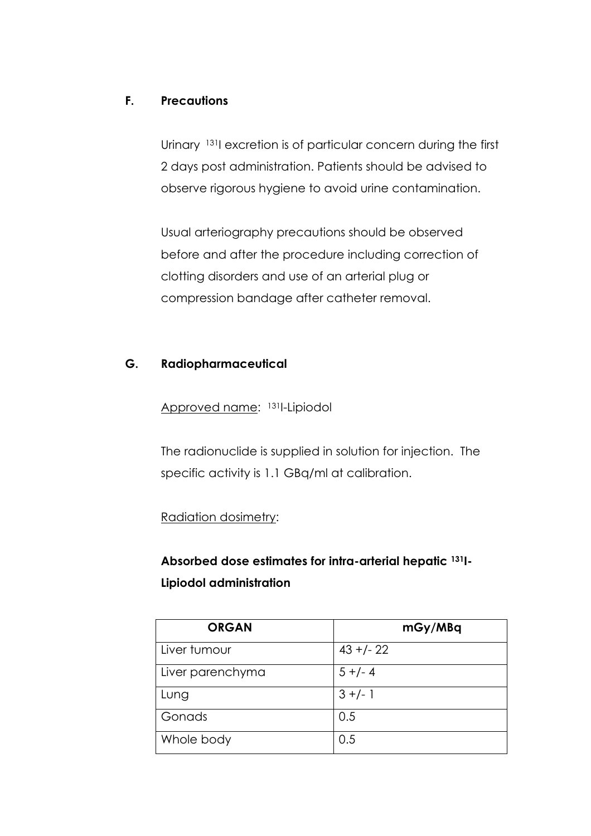## **F. Precautions**

Urinary 131I excretion is of particular concern during the first 2 days post administration. Patients should be advised to observe rigorous hygiene to avoid urine contamination.

Usual arteriography precautions should be observed before and after the procedure including correction of clotting disorders and use of an arterial plug or compression bandage after catheter removal.

# **G. Radiopharmaceutical**

Approved name: 131I-Lipiodol

The radionuclide is supplied in solution for injection. The specific activity is 1.1 GBq/ml at calibration.

Radiation dosimetry:

**Absorbed dose estimates for intra-arterial hepatic 131I-Lipiodol administration**

| <b>ORGAN</b>     | mGy/MBq      |
|------------------|--------------|
| Liver tumour     | $43 + (-22)$ |
| Liver parenchyma | $5 +/- 4$    |
| Lung             | $3 +/- 1$    |
| Gonads           | 0.5          |
| Whole body       | 0.5          |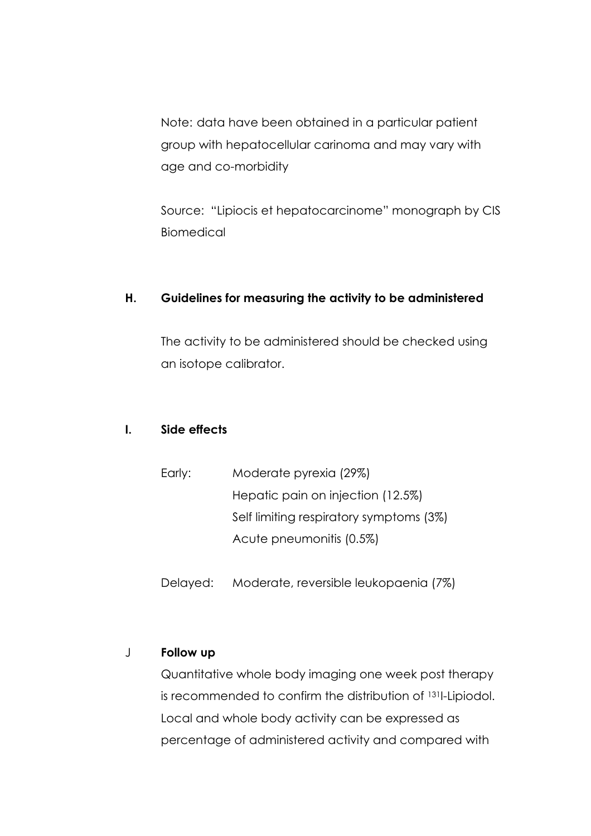Note: data have been obtained in a particular patient group with hepatocellular carinoma and may vary with age and co-morbidity

Source: "Lipiocis et hepatocarcinome" monograph by CIS Biomedical

## **H. Guidelines for measuring the activity to be administered**

The activity to be administered should be checked using an isotope calibrator.

## **I. Side effects**

| Early: | Moderate pyrexia (29%)                  |
|--------|-----------------------------------------|
|        | Hepatic pain on injection (12.5%)       |
|        | Self limiting respiratory symptoms (3%) |
|        | Acute pneumonitis (0.5%)                |

Delayed: Moderate, reversible leukopaenia (7%)

## J **Follow up**

Quantitative whole body imaging one week post therapy is recommended to confirm the distribution of 131I-Lipiodol. Local and whole body activity can be expressed as percentage of administered activity and compared with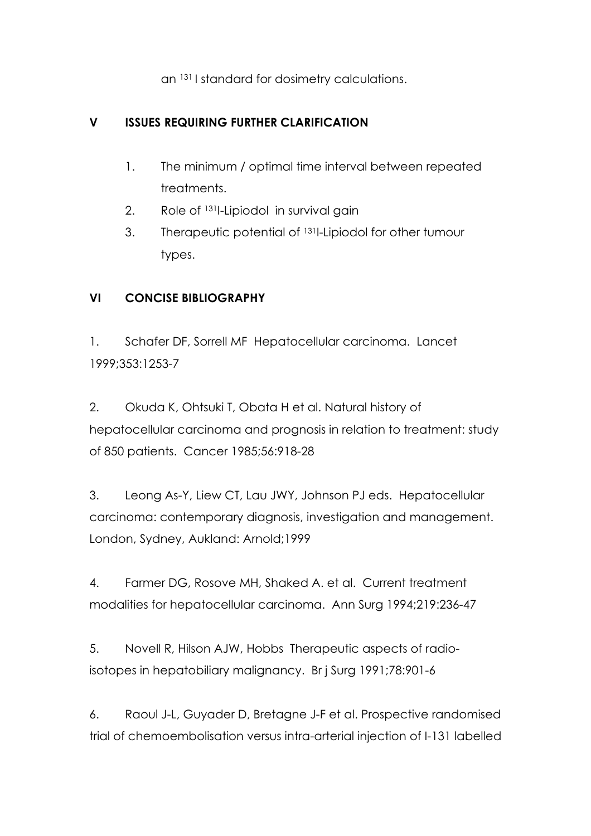an 131 I standard for dosimetry calculations.

# **V ISSUES REQUIRING FURTHER CLARIFICATION**

- 1. The minimum / optimal time interval between repeated treatments.
- 2. Role of 131I-Lipiodol in survival gain
- 3. Therapeutic potential of 131I-Lipiodol for other tumour types.

# **VI CONCISE BIBLIOGRAPHY**

1. Schafer DF, Sorrell MF Hepatocellular carcinoma. Lancet 1999;353:1253-7

2. Okuda K, Ohtsuki T, Obata H et al. Natural history of hepatocellular carcinoma and prognosis in relation to treatment: study of 850 patients. Cancer 1985;56:918-28

3. Leong As-Y, Liew CT, Lau JWY, Johnson PJ eds. Hepatocellular carcinoma: contemporary diagnosis, investigation and management. London, Sydney, Aukland: Arnold;1999

4. Farmer DG, Rosove MH, Shaked A. et al. Current treatment modalities for hepatocellular carcinoma. Ann Surg 1994;219:236-47

5. Novell R, Hilson AJW, Hobbs Therapeutic aspects of radioisotopes in hepatobiliary malignancy. Br j Surg 1991;78:901-6

6. Raoul J-L, Guyader D, Bretagne J-F et al. Prospective randomised trial of chemoembolisation versus intra-arterial injection of I-131 labelled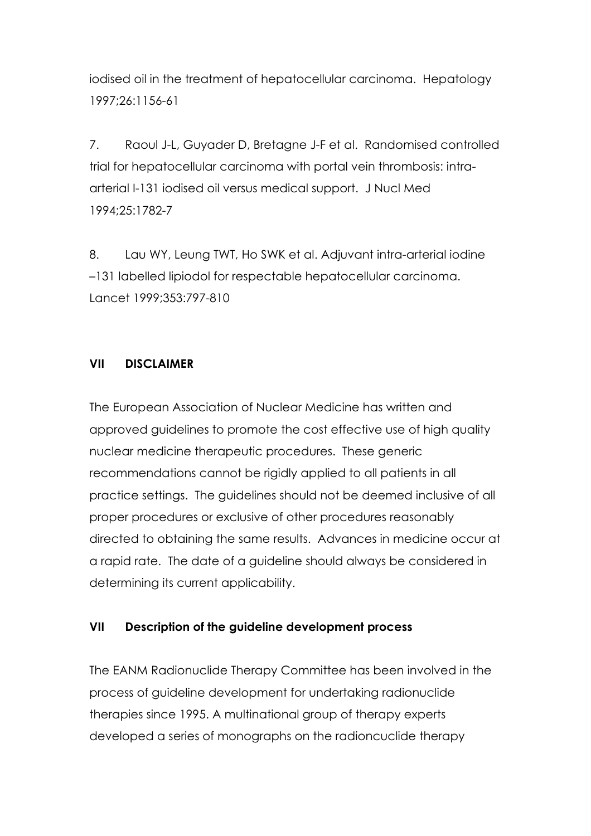iodised oil in the treatment of hepatocellular carcinoma. Hepatology 1997;26:1156-61

7. Raoul J-L, Guyader D, Bretagne J-F et al. Randomised controlled trial for hepatocellular carcinoma with portal vein thrombosis: intraarterial I-131 iodised oil versus medical support. J Nucl Med 1994;25:1782-7

8. Lau WY, Leung TWT, Ho SWK et al. Adjuvant intra-arterial iodine –131 labelled lipiodol for respectable hepatocellular carcinoma. Lancet 1999;353:797-810

## **VII DISCLAIMER**

The European Association of Nuclear Medicine has written and approved guidelines to promote the cost effective use of high quality nuclear medicine therapeutic procedures. These generic recommendations cannot be rigidly applied to all patients in all practice settings. The guidelines should not be deemed inclusive of all proper procedures or exclusive of other procedures reasonably directed to obtaining the same results. Advances in medicine occur at a rapid rate. The date of a guideline should always be considered in determining its current applicability.

## **VII Description of the guideline development process**

The EANM Radionuclide Therapy Committee has been involved in the process of guideline development for undertaking radionuclide therapies since 1995. A multinational group of therapy experts developed a series of monographs on the radioncuclide therapy